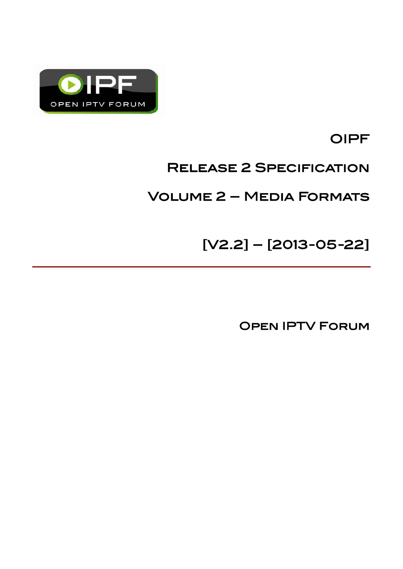

OIPF

# Release 2 Specification

# Volume 2 – Media Formats

[V2.2] – [2013-05-22]

Open IPTV Forum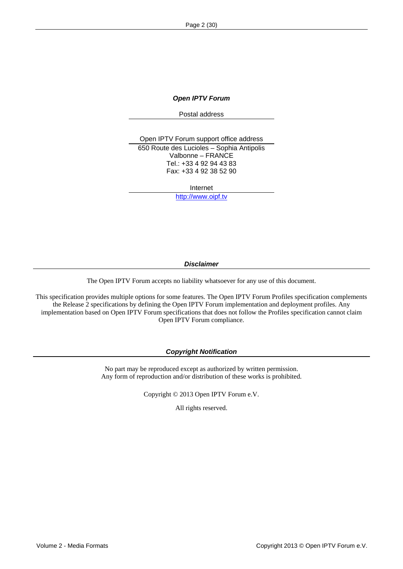*Open IPTV Forum* 

Postal address

Open IPTV Forum support office address 650 Route des Lucioles – Sophia Antipolis Valbonne – FRANCE Tel.: +33 4 92 94 43 83 Fax: +33 4 92 38 52 90

Internet

[http://www.oipf.tv](http://www.oipf.tv/)

*Disclaimer* 

The Open IPTV Forum accepts no liability whatsoever for any use of this document.

This specification provides multiple options for some features. The Open IPTV Forum Profiles specification complements the Release 2 specifications by defining the Open IPTV Forum implementation and deployment profiles. Any implementation based on Open IPTV Forum specifications that does not follow the Profiles specification cannot claim Open IPTV Forum compliance.

#### *Copyright Notification*

No part may be reproduced except as authorized by written permission. Any form of reproduction and/or distribution of these works is prohibited.

Copyright © 2013 Open IPTV Forum e.V.

All rights reserved.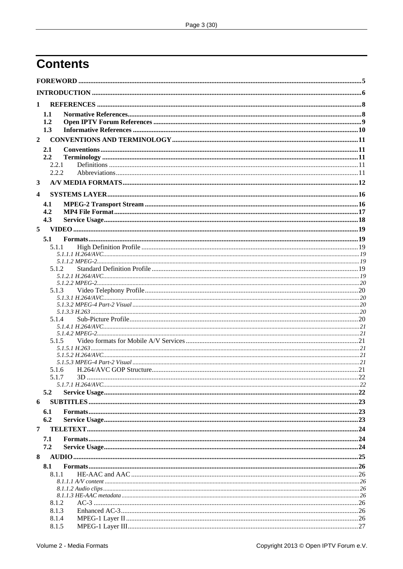# **Contents**

| 1                       |                |          |  |  |  |
|-------------------------|----------------|----------|--|--|--|
|                         | 1.1            |          |  |  |  |
|                         | 1.2            |          |  |  |  |
|                         | 1.3            |          |  |  |  |
| $\overline{2}$          |                |          |  |  |  |
|                         | 2.1            |          |  |  |  |
|                         | 2.2            |          |  |  |  |
|                         | 2.2.1<br>2.2.2 |          |  |  |  |
|                         |                |          |  |  |  |
| 3                       |                |          |  |  |  |
| $\overline{\mathbf{4}}$ |                |          |  |  |  |
|                         | 4.1            |          |  |  |  |
|                         | 4.2            |          |  |  |  |
|                         | 4.3            |          |  |  |  |
| 5                       |                |          |  |  |  |
|                         | 5.1            |          |  |  |  |
|                         | 5.1.1          |          |  |  |  |
|                         |                |          |  |  |  |
|                         | 5.1.2          |          |  |  |  |
|                         |                |          |  |  |  |
|                         | 5.1.3          |          |  |  |  |
|                         |                |          |  |  |  |
|                         |                |          |  |  |  |
|                         |                |          |  |  |  |
|                         | 5.1.4          |          |  |  |  |
|                         |                |          |  |  |  |
|                         | 5.1.5          |          |  |  |  |
|                         |                |          |  |  |  |
|                         |                |          |  |  |  |
|                         | 5.1.6          |          |  |  |  |
|                         |                | 5.1.7 3D |  |  |  |
|                         |                |          |  |  |  |
|                         | 5.2            |          |  |  |  |
| 6                       |                |          |  |  |  |
|                         | 6.1            |          |  |  |  |
|                         | 6.2            |          |  |  |  |
| 7                       |                |          |  |  |  |
|                         | 7.1            |          |  |  |  |
|                         | 7.2            |          |  |  |  |
| 8                       |                |          |  |  |  |
|                         | 8.1            |          |  |  |  |
|                         | 8.1.1          |          |  |  |  |
|                         |                |          |  |  |  |
|                         |                |          |  |  |  |
|                         | 8.1.2          |          |  |  |  |
|                         | 8.1.3<br>8.1.4 |          |  |  |  |
|                         | 8.1.5          |          |  |  |  |
|                         |                |          |  |  |  |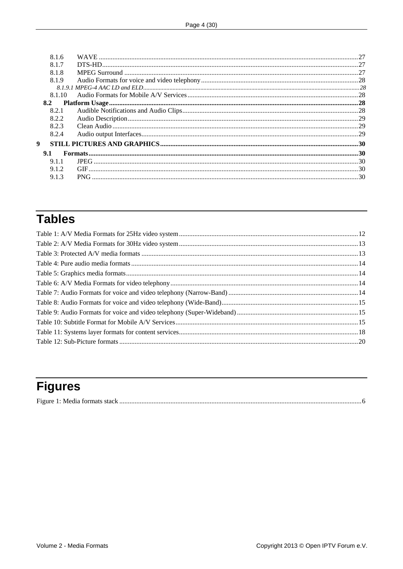| 8.1.6        |  |
|--------------|--|
| 8.1.7        |  |
| 8.1.8        |  |
| 8.1.9        |  |
|              |  |
| 8.1.10       |  |
| 8.2          |  |
| 8.2.1        |  |
| 8.2.2        |  |
| 8.2.3        |  |
| 8.2.4        |  |
| $\mathbf{Q}$ |  |
| 9.1          |  |
| 9.1.1        |  |
| 9.1.2        |  |
| 9.1.3        |  |

# **Tables**

# **Figures**

|--|--|--|--|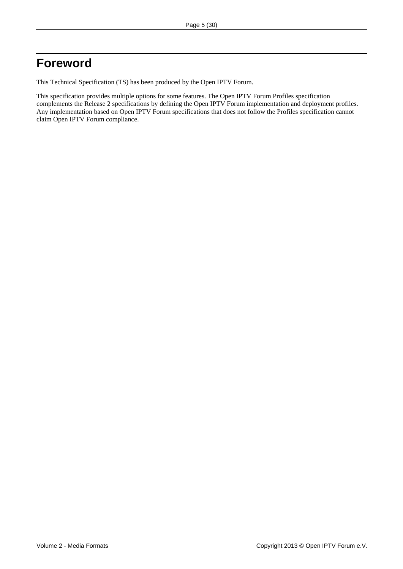## <span id="page-4-0"></span>**Foreword**

This Technical Specification (TS) has been produced by the Open IPTV Forum.

This specification provides multiple options for some features. The Open IPTV Forum Profiles specification complements the Release 2 specifications by defining the Open IPTV Forum implementation and deployment profiles. Any implementation based on Open IPTV Forum specifications that does not follow the Profiles specification cannot claim Open IPTV Forum compliance.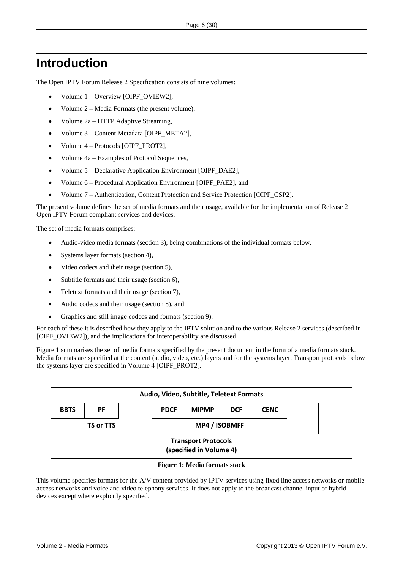## <span id="page-5-0"></span>**Introduction**

The Open IPTV Forum Release 2 Specification consists of nine volumes:

- Volume 1 Overview [OIPF\_OVIEW2],
- Volume 2 Media Formats (the present volume),
- Volume 2a HTTP Adaptive Streaming,
- Volume 3 Content Metadata [OIPF\_META2],
- Volume 4 Protocols [OIPF\_PROT2],
- Volume 4a Examples of Protocol Sequences,
- Volume 5 Declarative Application Environment [OIPF\_DAE2],
- Volume 6 Procedural Application Environment [OIPF\_PAE2], and
- Volume 7 Authentication, Content Protection and Service Protection [OIPF\_CSP2].

The present volume defines the set of media formats and their usage, available for the implementation of Release 2 Open IPTV Forum compliant services and devices.

The set of media formats comprises:

- Audio-video media formats (section [3](#page-11-1)), being combinations of the individual formats below.
- Systems layer formats (section [4\)](#page-15-1),
- Video codecs and their usage (section [5\)](#page-18-1),
- Subtitle formats and their usage (section [6\)](#page-22-1),
- Teletext formats and their usage (section [7](#page-23-1)),
- Audio codecs and their usage (section [8](#page-24-1)), and
- Graphics and still image codecs and formats (section [9\)](#page-29-1).

For each of these it is described how they apply to the IPTV solution and to the various Release 2 services (described in [OIPF\_OVIEW2]), and the implications for interoperability are discussed.

[Figure 1](#page-5-1) summarises the set of media formats specified by the present document in the form of a media formats stack. Media formats are specified at the content (audio, video, etc.) layers and for the systems layer. Transport protocols below the systems layer are specified in Volume 4 [OIPF\_PROT2].

| Audio, Video, Subtitle, Teletext Formats                                             |  |  |  |               |  |  |  |
|--------------------------------------------------------------------------------------|--|--|--|---------------|--|--|--|
| <b>MIPMP</b><br><b>CENC</b><br><b>PF</b><br><b>PDCF</b><br><b>BBTS</b><br><b>DCF</b> |  |  |  |               |  |  |  |
| TS or TTS                                                                            |  |  |  | MP4 / ISOBMFF |  |  |  |
| <b>Transport Protocols</b><br>(specified in Volume 4)                                |  |  |  |               |  |  |  |

#### **Figure 1: Media formats stack**

<span id="page-5-1"></span>This volume specifies formats for the A/V content provided by IPTV services using fixed line access networks or mobile access networks and voice and video telephony services. It does not apply to the broadcast channel input of hybrid devices except where explicitly specified.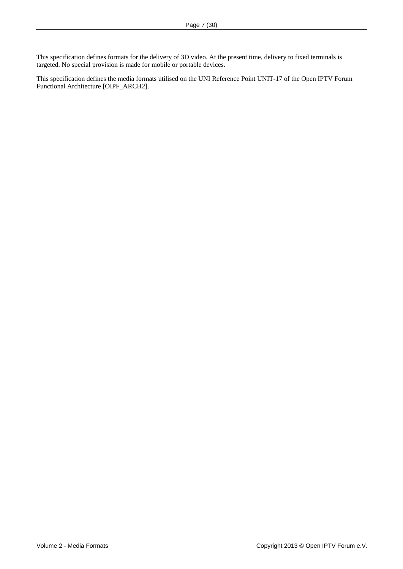This specification defines formats for the delivery of 3D video. At the present time, delivery to fixed terminals is targeted. No special provision is made for mobile or portable devices.

This specification defines the media formats utilised on the UNI Reference Point UNIT-17 of the Open IPTV Forum Functional Architecture [\[OIPF\\_ARCH2\].](#page-8-1)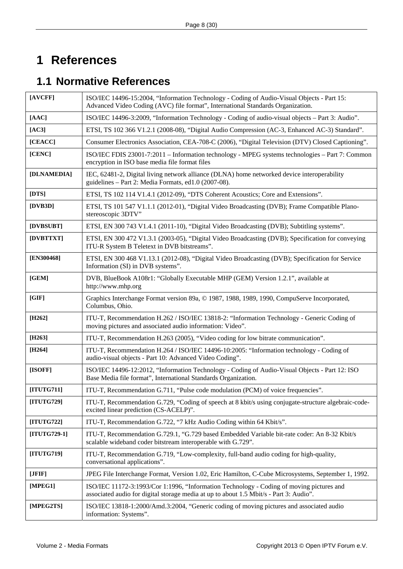# <span id="page-7-0"></span>**1 References**

# **1.1 Normative References**

<span id="page-7-10"></span><span id="page-7-9"></span><span id="page-7-8"></span><span id="page-7-7"></span><span id="page-7-6"></span><span id="page-7-5"></span><span id="page-7-4"></span><span id="page-7-3"></span><span id="page-7-2"></span><span id="page-7-1"></span>

| [AVCFF]      | ISO/IEC 14496-15:2004, "Information Technology - Coding of Audio-Visual Objects - Part 15:<br>Advanced Video Coding (AVC) file format", International Standards Organization.      |  |  |  |
|--------------|------------------------------------------------------------------------------------------------------------------------------------------------------------------------------------|--|--|--|
| [AAC]        | ISO/IEC 14496-3:2009, "Information Technology - Coding of audio-visual objects - Part 3: Audio".                                                                                   |  |  |  |
| [AC3]        | ETSI, TS 102 366 V1.2.1 (2008-08), "Digital Audio Compression (AC-3, Enhanced AC-3) Standard".                                                                                     |  |  |  |
| [CEACC]      | Consumer Electronics Association, CEA-708-C (2006), "Digital Television (DTV) Closed Captioning".                                                                                  |  |  |  |
| [CENC]       | ISO/IEC FDIS 23001-7:2011 – Information technology - MPEG systems technologies – Part 7: Common<br>encryption in ISO base media file format files                                  |  |  |  |
| [DLNAMEDIA]  | IEC, 62481-2, Digital living network alliance (DLNA) home networked device interoperability<br>guidelines - Part 2: Media Formats, ed1.0 (2007-08).                                |  |  |  |
| [DTS]        | ETSI, TS 102 114 V1.4.1 (2012-09), "DTS Coherent Acoustics; Core and Extensions".                                                                                                  |  |  |  |
| [DVB3D]      | ETSI, TS 101 547 V1.1.1 (2012-01), "Digital Video Broadcasting (DVB); Frame Compatible Plano-<br>stereoscopic 3DTV"                                                                |  |  |  |
| [DVBSUBT]    | ETSI, EN 300 743 V1.4.1 (2011-10), "Digital Video Broadcasting (DVB); Subtitling systems".                                                                                         |  |  |  |
| [DVBTTXT]    | ETSI, EN 300 472 V1.3.1 (2003-05), "Digital Video Broadcasting (DVB); Specification for conveying<br>ITU-R System B Teletext in DVB bitstreams".                                   |  |  |  |
| [EN300468]   | ETSI, EN 300 468 V1.13.1 (2012-08), "Digital Video Broadcasting (DVB); Specification for Service<br>Information (SI) in DVB systems".                                              |  |  |  |
| [GEM]        | DVB, BlueBook A108r1: "Globally Executable MHP (GEM) Version 1.2.1", available at<br>http://www.mhp.org                                                                            |  |  |  |
| [GIF]        | Graphics Interchange Format version 89a, © 1987, 1988, 1989, 1990, CompuServe Incorporated,<br>Columbus, Ohio.                                                                     |  |  |  |
| $[$ H262]    | ITU-T, Recommendation H.262 / ISO/IEC 13818-2: "Information Technology - Generic Coding of<br>moving pictures and associated audio information: Video".                            |  |  |  |
| [ $H263$ ]   | ITU-T, Recommendation H.263 (2005), "Video coding for low bitrate communication".                                                                                                  |  |  |  |
| $[H264]$     | ITU-T, Recommendation H.264 / ISO/IEC 14496-10:2005: "Information technology - Coding of<br>audio-visual objects - Part 10: Advanced Video Coding".                                |  |  |  |
| [ISOFF]      | ISO/IEC 14496-12:2012, "Information Technology - Coding of Audio-Visual Objects - Part 12: ISO<br>Base Media file format", International Standards Organization.                   |  |  |  |
| [ITUTG711]   | ITU-T, Recommendation G.711, "Pulse code modulation (PCM) of voice frequencies".                                                                                                   |  |  |  |
| [ITUTG729]   | ITU-T, Recommendation G.729, "Coding of speech at 8 kbit/s using conjugate-structure algebraic-code-<br>excited linear prediction (CS-ACELP)".                                     |  |  |  |
| [ITUTG722]   | ITU-T, Recommendation G.722, "7 kHz Audio Coding within 64 Kbit/s".                                                                                                                |  |  |  |
| [ITUTG729-1] | ITU-T, Recommendation G.729.1, "G.729 based Embedded Variable bit-rate coder: An 8-32 Kbit/s<br>scalable wideband coder bitstream interoperable with G.729".                       |  |  |  |
| [ITUTG719]   | ITU-T, Recommendation G.719, "Low-complexity, full-band audio coding for high-quality,<br>conversational applications".                                                            |  |  |  |
| [JFIF]       | JPEG File Interchange Format, Version 1.02, Eric Hamilton, C-Cube Microsystems, September 1, 1992.                                                                                 |  |  |  |
| [MPEG1]      | ISO/IEC 11172-3:1993/Cor 1:1996, "Information Technology - Coding of moving pictures and<br>associated audio for digital storage media at up to about 1.5 Mbit/s - Part 3: Audio". |  |  |  |
| [MPEG2TS]    | ISO/IEC 13818-1:2000/Amd.3:2004, "Generic coding of moving pictures and associated audio<br>information: Systems".                                                                 |  |  |  |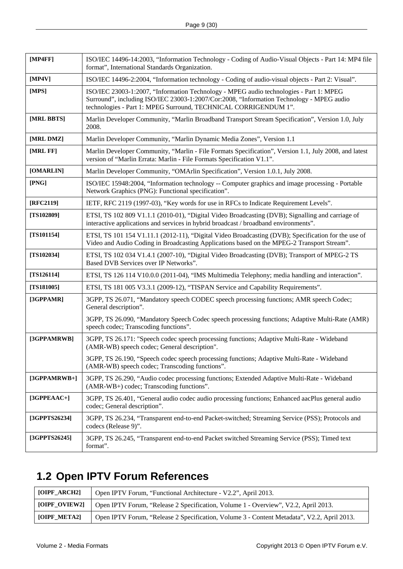<span id="page-8-4"></span><span id="page-8-3"></span><span id="page-8-2"></span><span id="page-8-0"></span>

| [MP4FF]       | ISO/IEC 14496-14:2003, "Information Technology - Coding of Audio-Visual Objects - Part 14: MP4 file<br>format", International Standards Organization.                                                                                                 |  |  |  |
|---------------|-------------------------------------------------------------------------------------------------------------------------------------------------------------------------------------------------------------------------------------------------------|--|--|--|
| [MP4V]        | ISO/IEC 14496-2:2004, "Information technology - Coding of audio-visual objects - Part 2: Visual".                                                                                                                                                     |  |  |  |
| [MPS]         | ISO/IEC 23003-1:2007, "Information Technology - MPEG audio technologies - Part 1: MPEG<br>Surround", including ISO/IEC 23003-1:2007/Cor:2008, "Information Technology - MPEG audio<br>technologies - Part 1: MPEG Surround, TECHNICAL CORRIGENDUM 1". |  |  |  |
| [MRL BBTS]    | Marlin Developer Community, "Marlin Broadband Transport Stream Specification", Version 1.0, July<br>2008.                                                                                                                                             |  |  |  |
| [MRL DMZ]     | Marlin Developer Community, "Marlin Dynamic Media Zones", Version 1.1                                                                                                                                                                                 |  |  |  |
| [MRL FF]      | Marlin Developer Community, "Marlin - File Formats Specification", Version 1.1, July 2008, and latest<br>version of "Marlin Errata: Marlin - File Formats Specification V1.1".                                                                        |  |  |  |
| [OMARLIN]     | Marlin Developer Community, "OMArlin Specification", Version 1.0.1, July 2008.                                                                                                                                                                        |  |  |  |
| [PNG]         | ISO/IEC 15948:2004, "Information technology -- Computer graphics and image processing - Portable<br>Network Graphics (PNG): Functional specification".                                                                                                |  |  |  |
| [RFC2119]     | IETF, RFC 2119 (1997-03), "Key words for use in RFCs to Indicate Requirement Levels".                                                                                                                                                                 |  |  |  |
| [TS102809]    | ETSI, TS 102 809 V1.1.1 (2010-01), "Digital Video Broadcasting (DVB); Signalling and carriage of<br>interactive applications and services in hybrid broadcast / broadband environments".                                                              |  |  |  |
| $[TS101154]$  | ETSI, TS 101 154 V1.11.1 (2012-11), "Digital Video Broadcasting (DVB); Specification for the use of<br>Video and Audio Coding in Broadcasting Applications based on the MPEG-2 Transport Stream".                                                     |  |  |  |
| $[TS102034]$  | ETSI, TS 102 034 V1.4.1 (2007-10), "Digital Video Broadcasting (DVB); Transport of MPEG-2 TS<br>Based DVB Services over IP Networks".                                                                                                                 |  |  |  |
| $[TS126114]$  | ETSI, TS 126 114 V10.0.0 (2011-04), "IMS Multimedia Telephony; media handling and interaction".                                                                                                                                                       |  |  |  |
| $[TS181005]$  | ETSI, TS 181 005 V3.3.1 (2009-12), "TISPAN Service and Capability Requirements".                                                                                                                                                                      |  |  |  |
| [3GPPAMR]     | 3GPP, TS 26.071, "Mandatory speech CODEC speech processing functions; AMR speech Codec;<br>General description".                                                                                                                                      |  |  |  |
|               | 3GPP, TS 26.090, "Mandatory Speech Codec speech processing functions; Adaptive Multi-Rate (AMR)<br>speech codec; Transcoding functions".                                                                                                              |  |  |  |
| [3GPPAMRWB]   | 3GPP, TS 26.171: "Speech codec speech processing functions; Adaptive Multi-Rate - Wideband<br>(AMR-WB) speech codec; General description".                                                                                                            |  |  |  |
|               | 3GPP, TS 26.190, "Speech codec speech processing functions; Adaptive Multi-Rate - Wideband<br>(AMR-WB) speech codec; Transcoding functions".                                                                                                          |  |  |  |
| [3GPPAMRWB+]  | 3GPP, TS 26.290, "Audio codec processing functions; Extended Adaptive Multi-Rate - Wideband<br>(AMR-WB+) codec; Transcoding functions".                                                                                                               |  |  |  |
| $[3GPPEAAC+]$ | 3GPP, TS 26.401, "General audio codec audio processing functions; Enhanced aacPlus general audio<br>codec; General description".                                                                                                                      |  |  |  |
| [3GPPTS26234] | 3GPP, TS 26.234, "Transparent end-to-end Packet-switched; Streaming Service (PSS); Protocols and<br>codecs (Release 9)".                                                                                                                              |  |  |  |
| [3GPPTS26245] | 3GPP, TS 26.245, "Transparent end-to-end Packet switched Streaming Service (PSS); Timed text<br>format".                                                                                                                                              |  |  |  |

## **1.2 Open IPTV Forum References**

<span id="page-8-1"></span>

| [OIPF_ARCH2]  | Open IPTV Forum, "Functional Architecture - V2.2", April 2013.                             |  |  |
|---------------|--------------------------------------------------------------------------------------------|--|--|
| [OIPF_OVIEW2] | Open IPTV Forum, "Release 2 Specification, Volume 1 - Overview", V2.2, April 2013.         |  |  |
| [OIPF_META2]  | Open IPTV Forum, "Release 2 Specification, Volume 3 - Content Metadata", V2.2, April 2013. |  |  |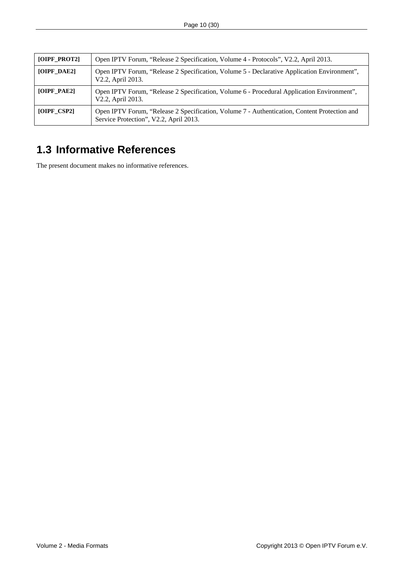<span id="page-9-0"></span>

| [OIPF_PROT2]  | Open IPTV Forum, "Release 2 Specification, Volume 4 - Protocols", V2.2, April 2013.                                                    |  |  |  |
|---------------|----------------------------------------------------------------------------------------------------------------------------------------|--|--|--|
| [OIPF_DAE2]   | Open IPTV Forum, "Release 2 Specification, Volume 5 - Declarative Application Environment",<br>V2.2, April 2013.                       |  |  |  |
| [OIPF_PAE2]   | Open IPTV Forum, "Release 2 Specification, Volume 6 - Procedural Application Environment",<br>V2.2, April 2013.                        |  |  |  |
| $[OIPF_CSP2]$ | Open IPTV Forum, "Release 2 Specification, Volume 7 - Authentication, Content Protection and<br>Service Protection", V2.2, April 2013. |  |  |  |

## **1.3 Informative References**

The present document makes no informative references.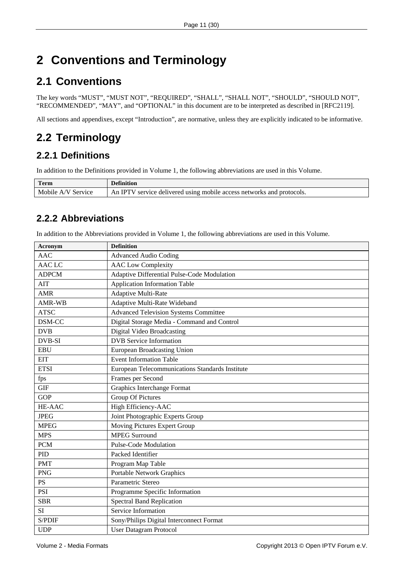# <span id="page-10-0"></span>**2 Conventions and Terminology**

# **2.1 Conventions**

The key words "MUST", "MUST NOT", "REQUIRED", "SHALL", "SHALL NOT", "SHOULD", "SHOULD NOT", "RECOMMENDED", "MAY", and "OPTIONAL" in this document are to be interpreted as described in [\[RFC2119\]](#page-8-2).

All sections and appendixes, except "Introduction", are normative, unless they are explicitly indicated to be informative.

# **2.2 Terminology**

## **2.2.1 Definitions**

In addition to the Definitions provided in Volume 1, the following abbreviations are used in this Volume.

| <b>Term</b>        | <b>Definition</b>                                                     |
|--------------------|-----------------------------------------------------------------------|
| Mobile A/V Service | An IPTV service delivered using mobile access networks and protocols. |

## **2.2.2 Abbreviations**

In addition to the Abbreviations provided in Volume 1, the following abbreviations are used in this Volume.

| Acronym                                                     | <b>Definition</b>                               |  |
|-------------------------------------------------------------|-------------------------------------------------|--|
| <b>AAC</b>                                                  | <b>Advanced Audio Coding</b>                    |  |
| <b>AACLC</b>                                                | <b>AAC</b> Low Complexity                       |  |
| Adaptive Differential Pulse-Code Modulation<br><b>ADPCM</b> |                                                 |  |
| <b>AIT</b>                                                  | Application Information Table                   |  |
| <b>AMR</b>                                                  | Adaptive Multi-Rate                             |  |
| <b>AMR-WB</b>                                               | Adaptive Multi-Rate Wideband                    |  |
| <b>ATSC</b>                                                 | <b>Advanced Television Systems Committee</b>    |  |
| DSM-CC                                                      | Digital Storage Media - Command and Control     |  |
| <b>DVB</b>                                                  | Digital Video Broadcasting                      |  |
| DVB-SI                                                      | <b>DVB</b> Service Information                  |  |
| <b>EBU</b>                                                  | European Broadcasting Union                     |  |
| <b>EIT</b>                                                  | <b>Event Information Table</b>                  |  |
| <b>ETSI</b>                                                 | European Telecommunications Standards Institute |  |
| fps                                                         | Frames per Second                               |  |
| <b>GIF</b>                                                  | <b>Graphics Interchange Format</b>              |  |
| <b>GOP</b>                                                  | <b>Group Of Pictures</b>                        |  |
| HE-AAC                                                      | High Efficiency-AAC                             |  |
| <b>JPEG</b>                                                 | Joint Photographic Experts Group                |  |
| <b>MPEG</b>                                                 | Moving Pictures Expert Group                    |  |
| <b>MPS</b>                                                  | <b>MPEG Surround</b>                            |  |
| <b>PCM</b>                                                  | <b>Pulse-Code Modulation</b>                    |  |
| PID                                                         | Packed Identifier                               |  |
| <b>PMT</b>                                                  | Program Map Table                               |  |
| <b>PNG</b>                                                  | <b>Portable Network Graphics</b>                |  |
| <b>PS</b>                                                   | Parametric Stereo                               |  |
| <b>PSI</b>                                                  | Programme Specific Information                  |  |
| <b>SBR</b>                                                  | <b>Spectral Band Replication</b>                |  |
| SI                                                          | Service Information                             |  |
| S/PDIF                                                      | Sony/Philips Digital Interconnect Format        |  |
| <b>UDP</b>                                                  | <b>User Datagram Protocol</b>                   |  |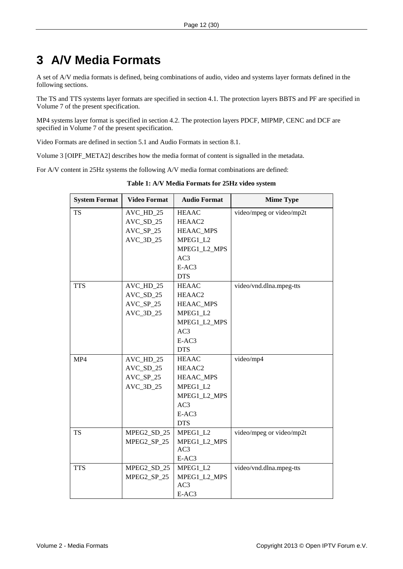# <span id="page-11-1"></span><span id="page-11-0"></span>**3 A/V Media Formats**

A set of A/V media formats is defined, being combinations of audio, video and systems layer formats defined in the following sections.

The TS and TTS systems layer formats are specified in section [4.1](#page-15-2). The protection layers BBTS and PF are specified in Volume 7 of the present specification.

MP4 systems layer format is specified in section [4.2](#page-16-1). The protection layers PDCF, MIPMP, CENC and DCF are specified in Volume 7 of the present specification.

Video Formats are defined in section [5.1](#page-18-2) and Audio Formats in section [8.1.](#page-25-1)

Volume 3 [OIPF\_META2] describes how the media format of content is signalled in the metadata.

<span id="page-11-2"></span>For A/V content in 25Hz systems the following A/V media format combinations are defined:

| <b>System Format</b> | <b>Video Format</b> | <b>Audio Format</b> | <b>Mime Type</b>         |
|----------------------|---------------------|---------------------|--------------------------|
| <b>TS</b>            | AVC_HD_25           | <b>HEAAC</b>        | video/mpeg or video/mp2t |
|                      | AVC_SD_25           | HEAAC2              |                          |
|                      | $AVC_SP_25$         | <b>HEAAC_MPS</b>    |                          |
|                      | AVC_3D_25           | MPEG1_L2            |                          |
|                      |                     | MPEG1_L2_MPS        |                          |
|                      |                     | AC3                 |                          |
|                      |                     | E-AC3               |                          |
|                      |                     | <b>DTS</b>          |                          |
| <b>TTS</b>           | AVC_HD_25           | <b>HEAAC</b>        | video/vnd.dlna.mpeg-tts  |
|                      | $AVC\_SD_25$        | HEAAC2              |                          |
|                      | $AVC_SP_25$         | <b>HEAAC_MPS</b>    |                          |
|                      | AVC_3D_25           | MPEG1_L2            |                          |
|                      |                     | MPEG1_L2_MPS        |                          |
|                      |                     | AC3                 |                          |
|                      |                     | E-AC3               |                          |
|                      |                     | <b>DTS</b>          |                          |
| MP4                  | AVC_HD_25           | <b>HEAAC</b>        | video/mp4                |
|                      | $AVC_SD_25$         | HEAAC2              |                          |
|                      | $AVC_SP_25$         | HEAAC_MPS           |                          |
|                      | AVC_3D_25           | MPEG1_L2            |                          |
|                      |                     | MPEG1_L2_MPS        |                          |
|                      |                     | AC3                 |                          |
|                      |                     | E-AC3               |                          |
|                      |                     | <b>DTS</b>          |                          |
| <b>TS</b>            | MPEG2_SD_25         | MPEG1_L2            | video/mpeg or video/mp2t |
|                      | MPEG2_SP_25         | MPEG1_L2_MPS        |                          |
|                      |                     | AC3                 |                          |
|                      |                     | E-AC3               |                          |
| <b>TTS</b>           | MPEG2_SD_25         | MPEG1_L2            | video/vnd.dlna.mpeg-tts  |
|                      | MPEG2_SP_25         | MPEG1_L2_MPS<br>AC3 |                          |
|                      |                     | E-AC3               |                          |

**Table 1: A/V Media Formats for 25Hz video system**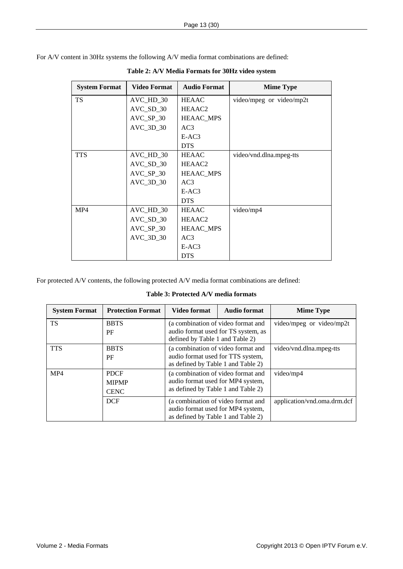<span id="page-12-1"></span><span id="page-12-0"></span>For A/V content in 30Hz systems the following A/V media format combinations are defined:

| <b>System Format</b> | <b>Video Format</b> | <b>Audio Format</b> | <b>Mime Type</b>         |
|----------------------|---------------------|---------------------|--------------------------|
| <b>TS</b>            | AVC_HD_30           | <b>HEAAC</b>        | video/mpeg or video/mp2t |
|                      | $AVC_SD_30$         | HEAAC <sub>2</sub>  |                          |
|                      | $AVC_SP_30$         | <b>HEAAC_MPS</b>    |                          |
|                      | $AVC_3D_30$         | AC3                 |                          |
|                      |                     | $E-AC3$             |                          |
|                      |                     | <b>DTS</b>          |                          |
| <b>TTS</b>           | $AVC_HD_30$         | <b>HEAAC</b>        | video/vnd.dlna.mpeg-tts  |
|                      | $AVC_SD_30$         | HEAAC2              |                          |
|                      | $AVC_SP_30$         | <b>HEAAC_MPS</b>    |                          |
|                      | $AVC_3D_30$         | AC3                 |                          |
|                      |                     | $E-AC3$             |                          |
|                      |                     | <b>DTS</b>          |                          |
| MP4                  | AVC_HD_30           | <b>HEAAC</b>        | video/mp4                |
|                      | $AVC_SD_30$         | HEAAC <sub>2</sub>  |                          |
|                      | $AVC_SP_30$         | HEAAC_MPS           |                          |
|                      | $AVC_3D_30$         | AC3                 |                          |
|                      |                     | $E-AC3$             |                          |
|                      |                     | <b>DTS</b>          |                          |

**Table 2: A/V Media Formats for 30Hz video system** 

For protected A/V contents, the following protected A/V media format combinations are defined:

**Table 3: Protected A/V media formats** 

| <b>System Format</b> | <b>Protection Format</b> | <b>Video format</b>                                                                                           | <b>Audio format</b> | <b>Mime Type</b>            |
|----------------------|--------------------------|---------------------------------------------------------------------------------------------------------------|---------------------|-----------------------------|
| <b>TS</b>            | <b>BBTS</b>              | (a combination of video format and                                                                            |                     | video/mpeg or video/mp2t    |
|                      | PF                       | audio format used for TS system, as<br>defined by Table 1 and Table 2)                                        |                     |                             |
| <b>TTS</b>           | <b>BBTS</b>              | (a combination of video format and                                                                            |                     | video/vnd.dlna.mpeg-tts     |
|                      | PF                       | audio format used for TTS system,                                                                             |                     |                             |
|                      |                          | as defined by Table 1 and Table 2)                                                                            |                     |                             |
| MP4                  | <b>PDCF</b>              | (a combination of video format and<br>audio format used for MP4 system,<br>as defined by Table 1 and Table 2) |                     | video/mp4                   |
|                      | <b>MIPMP</b>             |                                                                                                               |                     |                             |
|                      | <b>CENC</b>              |                                                                                                               |                     |                             |
|                      | <b>DCF</b>               | (a combination of video format and                                                                            |                     | application/vnd.oma.drm.dcf |
|                      |                          | audio format used for MP4 system,                                                                             |                     |                             |
|                      |                          | as defined by Table 1 and Table 2)                                                                            |                     |                             |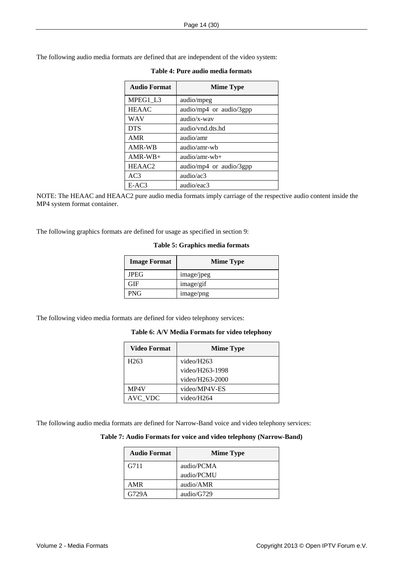<span id="page-13-0"></span>The following audio media formats are defined that are independent of the video system:

| <b>Audio Format</b> | <b>Mime Type</b>        |  |
|---------------------|-------------------------|--|
| MPEG1 L3            | audio/mpeg              |  |
| <b>HEAAC</b>        | audio/mp4 or audio/3gpp |  |
| <b>WAV</b>          | audio/x-way             |  |
| <b>DTS</b>          | audio/vnd.dts.hd        |  |
| <b>AMR</b>          | audio/amr               |  |
| AMR-WB              | audio/amr-wh            |  |
| $AMR-WB+$           | $audio/amr-wb+$         |  |
| HEAAC <sub>2</sub>  | audio/mp4 or audio/3gpp |  |
| AC <sub>3</sub>     | audio/ac3               |  |
| $E-AC3$             | audio/eac3              |  |

#### **Table 4: Pure audio media formats**

NOTE: The HEAAC and HEAAC2 pure audio media formats imply carriage of the respective audio content inside the MP4 system format container.

The following graphics formats are defined for usage as specified in section [9:](#page-29-1)

#### **Table 5: Graphics media formats**

| <b>Image Format</b> | <b>Mime Type</b> |  |
|---------------------|------------------|--|
| <b>JPEG</b>         | image/jpeg       |  |
| ìЕ                  | image/gif        |  |
| PNG                 | image/png        |  |

The following video media formats are defined for video telephony services:

#### **Table 6: A/V Media Formats for video telephony**

| Video Format     | <b>Mime Type</b> |  |
|------------------|------------------|--|
| H <sub>263</sub> | video/H263       |  |
|                  | video/H263-1998  |  |
|                  | video/H263-2000  |  |
| MP4V             | video/MP4V-ES    |  |
| AVC VDC          | video/H264       |  |

The following audio media formats are defined for Narrow-Band voice and video telephony services:

#### **Table 7: Audio Formats for voice and video telephony (Narrow-Band)**

| <b>Audio Format</b> | <b>Mime Type</b> |
|---------------------|------------------|
| G711                | audio/PCMA       |
|                     | audio/PCMU       |
| AMR                 | audio/AMR        |
| G729A               | audio/G729       |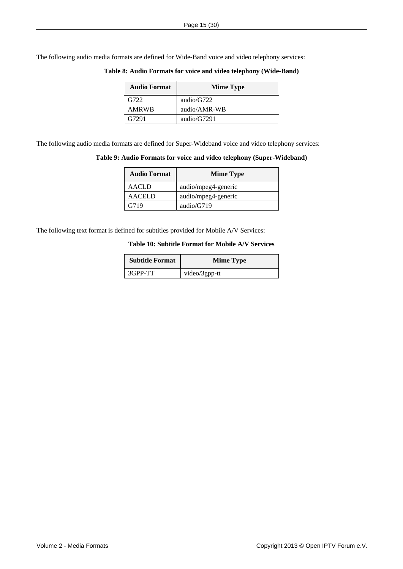<span id="page-14-0"></span>The following audio media formats are defined for Wide-Band voice and video telephony services:

| <b>Audio Format</b> | <b>Mime Type</b> |  |
|---------------------|------------------|--|
| G722                | audio/ $G722$    |  |
| <b>AMRWB</b>        | audio/AMR-WB     |  |
| G7291               | audio/ $G7291$   |  |

**Table 8: Audio Formats for voice and video telephony (Wide-Band)** 

The following audio media formats are defined for Super-Wideband voice and video telephony services:

#### **Table 9: Audio Formats for voice and video telephony (Super-Wideband)**

| <b>Audio Format</b> | <b>Mime Type</b>    |
|---------------------|---------------------|
| AACLD               | audio/mpeg4-generic |
| <b>AACELD</b>       | audio/mpeg4-generic |
| G719                | audio/ $G719$       |

The following text format is defined for subtitles provided for Mobile A/V Services:

#### **Table 10: Subtitle Format for Mobile A/V Services**

| <b>Subtitle Format</b> | <b>Mime Type</b> |  |
|------------------------|------------------|--|
| 3GPP-TT                | video/3gpp-tt    |  |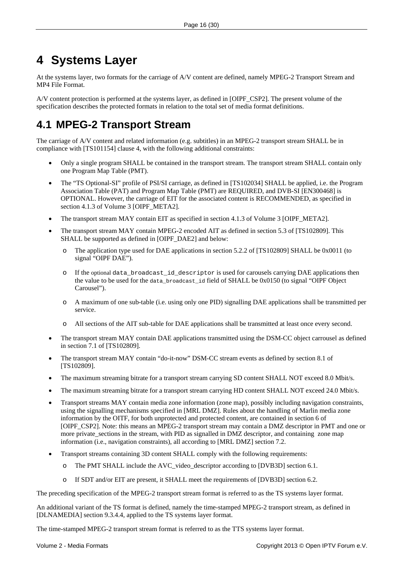# <span id="page-15-1"></span><span id="page-15-0"></span>**4 Systems Layer**

At the systems layer, two formats for the carriage of A/V content are defined, namely MPEG-2 Transport Stream and MP4 File Format.

A/V content protection is performed at the systems layer, as defined in [OIPF\_CSP2]. The present volume of the specification describes the protected formats in relation to the total set of media format definitions.

# <span id="page-15-2"></span>**4.1 MPEG-2 Transport Stream**

The carriage of A/V content and related information (e.g. subtitles) in an MPEG-2 transport stream SHALL be in compliance with [\[TS101154\]](#page-8-3) clause 4, with the following additional constraints:

- Only a single program SHALL be contained in the transport stream. The transport stream SHALL contain only one Program Map Table (PMT).
- The "TS Optional-SI" profile of PSI/SI carriage, as defined in [\[TS102034\]](#page-8-4) SHALL be applied, i.e. the Program Association Table (PAT) and Program Map Table (PMT) are REQUIRED, and DVB-SI [\[EN300468\]](#page-7-1) is OPTIONAL. However, the carriage of EIT for the associated content is RECOMMENDED, as specified in section 4.1.3 of Volume 3 [OIPF\_META2].
- The transport stream MAY contain EIT as specified in section 4.1.3 of Volume 3 [OIPF\_META2].
- The transport stream MAY contain MPEG-2 encoded AIT as defined in section 5.3 of [TS102809]. This SHALL be supported as defined in [OIPF\_DAE2] and below:
	- o The application type used for DAE applications in section 5.2.2 of [TS102809] SHALL be 0x0011 (to signal "OIPF DAE").
	- o If the optional data\_broadcast\_id\_descriptor is used for carousels carrying DAE applications then the value to be used for the data\_broadcast\_id field of SHALL be 0x0150 (to signal "OIPF Object Carousel").
	- o A maximum of one sub-table (i.e. using only one PID) signalling DAE applications shall be transmitted per service.
	- o All sections of the AIT sub-table for DAE applications shall be transmitted at least once every second.
- The transport stream MAY contain DAE applications transmitted using the DSM-CC object carrousel as defined in section 7.1 of [TS102809].
- The transport stream MAY contain "do-it-now" DSM-CC stream events as defined by section 8.1 of [TS102809].
- The maximum streaming bitrate for a transport stream carrying SD content SHALL NOT exceed 8.0 Mbit/s.
- The maximum streaming bitrate for a transport stream carrying HD content SHALL NOT exceed 24.0 Mbit/s.
- Transport streams MAY contain media zone information (zone map), possibly including navigation constraints, using the signalling mechanisms specified in [MRL DMZ]. Rules about the handling of Marlin media zone information by the OITF, for both unprotected and protected content, are contained in section 6 of [OIPF\_CSP2]. Note: this means an MPEG-2 transport stream may contain a DMZ descriptor in PMT and one or more private sections in the stream, with PID as signalled in DMZ descriptor, and containing zone map information (i.e., navigation constraints), all according to [MRL DMZ] section 7.2.
- Transport streams containing 3D content SHALL comply with the following requirements:
	- o The PMT SHALL include the AVC\_video\_descriptor according to [DVB3D] section 6.1.
	- If SDT and/or EIT are present, it SHALL meet the requirements of [DVB3D] section 6.2.

The preceding specification of the MPEG-2 transport stream format is referred to as the TS systems layer format.

An additional variant of the TS format is defined, namely the time-stamped MPEG-2 transport stream, as defined in [\[DLNAMEDIA\]](#page-7-2) section 9.3.4.4, applied to the TS systems layer format.

The time-stamped MPEG-2 transport stream format is referred to as the TTS systems layer format.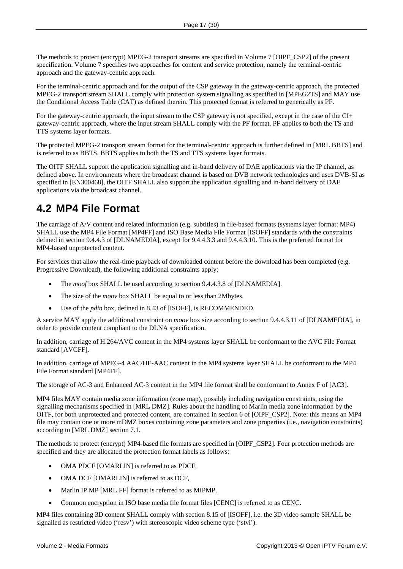<span id="page-16-0"></span>The methods to protect (encrypt) MPEG-2 transport streams are specified in Volume 7 [OIPF\_CSP2] of the present specification. Volume 7 specifies two approaches for content and service protection, namely the terminal-centric approach and the gateway-centric approach.

For the terminal-centric approach and for the output of the CSP gateway in the gateway-centric approach, the protected MPEG-2 transport stream SHALL comply with protection system signalling as specified in [MPEG2TS] and MAY use the Conditional Access Table (CAT) as defined therein. This protected format is referred to generically as PF.

For the gateway-centric approach, the input stream to the CSP gateway is not specified, except in the case of the CI+ gateway-centric approach, where the input stream SHALL comply with the PF format. PF applies to both the TS and TTS systems layer formats.

The protected MPEG-2 transport stream format for the terminal-centric approach is further defined in [MRL BBTS] and is referred to as BBTS. BBTS applies to both the TS and TTS systems layer formats.

The OITF SHALL support the application signalling and in-band delivery of DAE applications via the IP channel, as defined above. In environments where the broadcast channel is based on DVB network technologies and uses DVB-SI as specified in [EN300468], the OITF SHALL also support the application signalling and in-band delivery of DAE applications via the broadcast channel.

## <span id="page-16-1"></span>**4.2 MP4 File Format**

The carriage of A/V content and related information (e.g. subtitles) in file-based formats (systems layer format: MP4) SHALL use the MP4 File Format [MP4FF] and ISO Base Media File Format [ISOFF] standards with the constraints defined in section 9.4.4.3 of [DLNAMEDIA], except for 9.4.4.3.3 and 9.4.4.3.10. This is the preferred format for MP4-based unprotected content.

For services that allow the real-time playback of downloaded content before the download has been completed (e.g. Progressive Download), the following additional constraints apply:

- The *moof* box SHALL be used according to section 9.4.4.3.8 of [DLNAMEDIA].
- The size of the *moov* box SHALL be equal to or less than 2Mbytes.
- Use of the *pdin* box, defined in 8.43 of [ISOFF], is RECOMMENDED.

A service MAY apply the additional constraint on *moov* box size according to section 9.4.4.3.11 of [DLNAMEDIA], in order to provide content compliant to the DLNA specification.

In addition, carriage of H.264/AVC content in the MP4 systems layer SHALL be conformant to the AVC File Format standard [AVCFF].

In addition, carriage of MPEG-4 AAC/HE-AAC content in the MP4 systems layer SHALL be conformant to the MP4 File Format standard [MP4FF].

The storage of AC-3 and Enhanced AC-3 content in the MP4 file format shall be conformant to Annex F of [AC3].

MP4 files MAY contain media zone information (zone map), possibly including navigation constraints, using the signalling mechanisms specified in [MRL DMZ]. Rules about the handling of Marlin media zone information by the OITF, for both unprotected and protected content, are contained in section 6 of [OIPF\_CSP2]. Note: this means an MP4 file may contain one or more mDMZ boxes containing zone parameters and zone properties (i.e., navigation constraints) according to [MRL DMZ] section 7.1.

The methods to protect (encrypt) MP4-based file formats are specified in [OIPF\_CSP2]. Four protection methods are specified and they are allocated the protection format labels as follows:

- OMA PDCF [OMARLIN] is referred to as PDCF,
- OMA DCF [OMARLIN] is referred to as DCF,
- Marlin IP MP [MRL FF] format is referred to as MIPMP.
- Common encryption in ISO base media file format files [CENC] is referred to as CENC.

MP4 files containing 3D content SHALL comply with section 8.15 of [ISOFF], i.e. the 3D video sample SHALL be signalled as restricted video ('resv') with stereoscopic video scheme type ('stvi').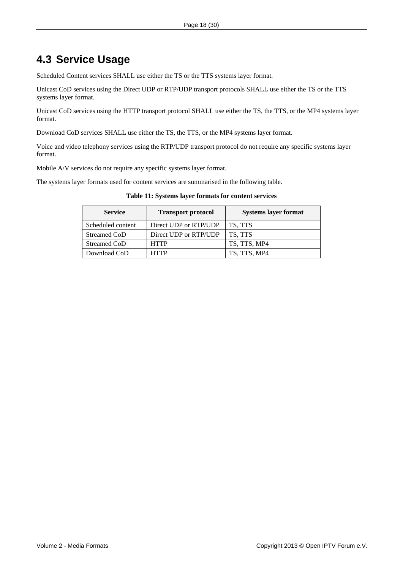## <span id="page-17-0"></span>**4.3 Service Usage**

Scheduled Content services SHALL use either the TS or the TTS systems layer format.

Unicast CoD services using the Direct UDP or RTP/UDP transport protocols SHALL use either the TS or the TTS systems layer format.

Unicast CoD services using the HTTP transport protocol SHALL use either the TS, the TTS, or the MP4 systems layer format.

Download CoD services SHALL use either the TS, the TTS, or the MP4 systems layer format.

Voice and video telephony services using the RTP/UDP transport protocol do not require any specific systems layer format.

Mobile A/V services do not require any specific systems layer format.

The systems layer formats used for content services are summarised in the following table.

| <b>Service</b>    | <b>Transport protocol</b> | <b>Systems layer format</b> |
|-------------------|---------------------------|-----------------------------|
| Scheduled content | Direct UDP or RTP/UDP     | TS. TTS                     |
| Streamed CoD      | Direct UDP or RTP/UDP     | TS. TTS                     |
| Streamed CoD      | <b>HTTP</b>               | TS, TTS, MP4                |
| Download CoD      | <b>HTTP</b>               | TS, TTS, MP4                |

#### **Table 11: Systems layer formats for content services**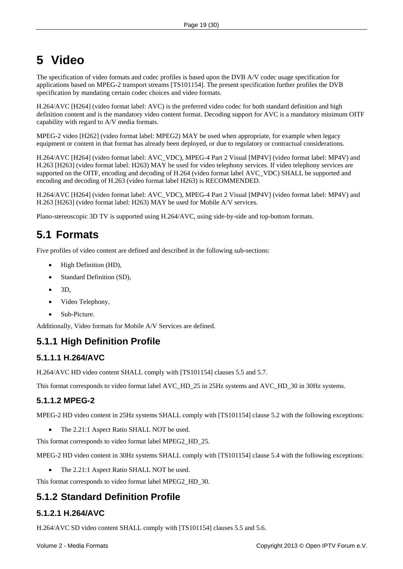# <span id="page-18-1"></span><span id="page-18-0"></span>**5 Video**

The specification of video formats and codec profiles is based upon the DVB A/V codec usage specification for applications based on MPEG-2 transport streams [\[TS101154\].](#page-8-3) The present specification further profiles the DVB specification by mandating certain codec choices and video formats.

H.264/AVC [\[H264\]](#page-7-3) (video format label: AVC) is the preferred video codec for both standard definition and high definition content and is the mandatory video content format. Decoding support for AVC is a mandatory minimum OITF capability with regard to A/V media formats.

MPEG-2 video [\[H262\]](#page-7-4) (video format label: MPEG2) MAY be used when appropriate, for example when legacy equipment or content in that format has already been deployed, or due to regulatory or contractual considerations.

H.264/AVC [H264] (video format label: AVC\_VDC), MPEG-4 Part 2 Visual [MP4V] (video format label: MP4V) and H.263 [H263] (video format label: H263) MAY be used for video telephony services. If video telephony services are supported on the OITF, encoding and decoding of H.264 (video format label AVC\_VDC) SHALL be supported and encoding and decoding of H.263 (video format label H263) is RECOMMENDED.

H.264/AVC [H264] (video format label: AVC\_VDC), MPEG-4 Part 2 Visual [MP4V] (video format label: MP4V) and H.263 [H263] (video format label: H263) MAY be used for Mobile A/V services.

Plano-stereoscopic 3D TV is supported using H.264/AVC, using side-by-side and top-bottom formats.

# <span id="page-18-2"></span>**5.1 Formats**

Five profiles of video content are defined and described in the following sub-sections:

- High Definition (HD),
- Standard Definition (SD),
- 3D,
- Video Telephony,
- Sub-Picture.

Additionally, Video formats for Mobile A/V Services are defined.

### **5.1.1 High Definition Profile**

#### **5.1.1.1 H.264/AVC**

H.264/AVC HD video content SHALL comply with [\[TS101154\]](#page-8-3) clauses 5.5 and 5.7.

This format corresponds to video format label AVC\_HD\_25 in 25Hz systems and AVC\_HD\_30 in 30Hz systems.

#### **5.1.1.2 MPEG-2**

MPEG-2 HD video content in 25Hz systems SHALL comply with [\[TS101154\]](#page-8-3) clause 5.2 with the following exceptions:

• The 2.21:1 Aspect Ratio SHALL NOT be used.

This format corresponds to video format label MPEG2\_HD\_25.

MPEG-2 HD video content in 30Hz systems SHALL comply with [\[TS101154\]](#page-8-3) clause 5.4 with the following exceptions:

The 2.21:1 Aspect Ratio SHALL NOT be used.

This format corresponds to video format label MPEG2\_HD\_30.

### **5.1.2 Standard Definition Profile**

#### **5.1.2.1 H.264/AVC**

H.264/AVC SD video content SHALL comply with [\[TS101154\]](#page-8-3) clauses 5.5 and 5.6.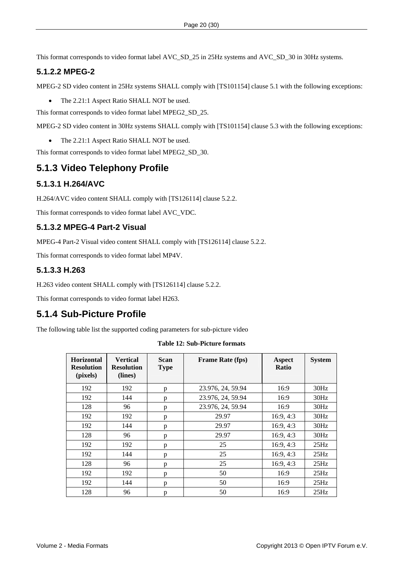<span id="page-19-0"></span>This format corresponds to video format label AVC\_SD\_25 in 25Hz systems and AVC\_SD\_30 in 30Hz systems.

#### **5.1.2.2 MPEG-2**

MPEG-2 SD video content in 25Hz systems SHALL comply with [\[TS101154\]](#page-8-3) clause 5.1 with the following exceptions:

• The 2.21:1 Aspect Ratio SHALL NOT be used.

This format corresponds to video format label MPEG2\_SD\_25.

MPEG-2 SD video content in 30Hz systems SHALL comply with [\[TS101154\]](#page-8-3) clause 5.3 with the following exceptions:

• The 2.21:1 Aspect Ratio SHALL NOT be used.

This format corresponds to video format label MPEG2\_SD\_30.

### **5.1.3 Video Telephony Profile**

#### **5.1.3.1 H.264/AVC**

H.264/AVC video content SHALL comply with [TS126114] clause 5.2.2.

This format corresponds to video format label AVC\_VDC.

#### **5.1.3.2 MPEG-4 Part-2 Visual**

MPEG-4 Part-2 Visual video content SHALL comply with [TS126114] clause 5.2.2.

This format corresponds to video format label MP4V.

#### **5.1.3.3 H.263**

H.263 video content SHALL comply with [TS126114] clause 5.2.2.

This format corresponds to video format label H263.

## **5.1.4 Sub-Picture Profile**

The following table list the supported coding parameters for sub-picture video

**Table 12: Sub-Picture formats** 

| <b>Horizontal</b><br><b>Resolution</b><br>(pixels) | <b>Vertical</b><br><b>Resolution</b><br>(lines) | <b>Scan</b><br><b>Type</b> | <b>Frame Rate (fps)</b> | Aspect<br><b>Ratio</b> | <b>System</b> |
|----------------------------------------------------|-------------------------------------------------|----------------------------|-------------------------|------------------------|---------------|
| 192                                                | 192                                             | p                          | 23.976, 24, 59.94       | 16:9                   | 30Hz          |
| 192                                                | 144                                             | p                          | 23.976, 24, 59.94       | 16:9                   | 30Hz          |
| 128                                                | 96                                              | p                          | 23.976, 24, 59.94       | 16:9                   | 30Hz          |
| 192                                                | 192                                             | p                          | 29.97                   | 16:9, 4:3              | 30Hz          |
| 192                                                | 144                                             | p                          | 29.97                   | 16:9, 4:3              | 30Hz          |
| 128                                                | 96                                              | p                          | 29.97                   | 16:9, 4:3              | 30Hz          |
| 192                                                | 192                                             | p                          | 25                      | 16:9, 4:3              | 25Hz          |
| 192                                                | 144                                             | p                          | 25                      | 16:9, 4:3              | 25Hz          |
| 128                                                | 96                                              | p                          | 25                      | 16:9, 4:3              | 25Hz          |
| 192                                                | 192                                             | p                          | 50                      | 16:9                   | 25Hz          |
| 192                                                | 144                                             | p                          | 50                      | 16:9                   | 25Hz          |
| 128                                                | 96                                              | p                          | 50                      | 16:9                   | 25Hz          |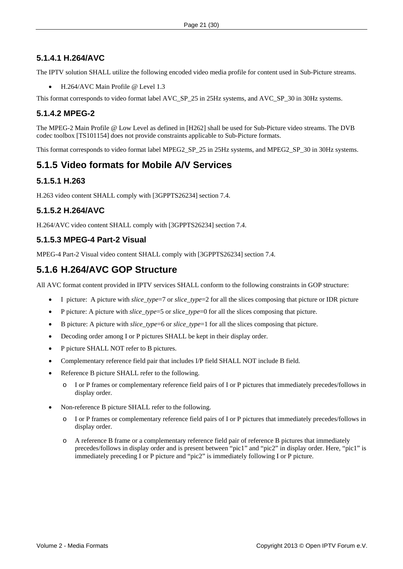#### <span id="page-20-0"></span>**5.1.4.1 H.264/AVC**

The IPTV solution SHALL utilize the following encoded video media profile for content used in Sub-Picture streams.

• H.264/AVC Main Profile @ Level 1.3

This format corresponds to video format label AVC\_SP\_25 in 25Hz systems, and AVC\_SP\_30 in 30Hz systems.

#### **5.1.4.2 MPEG-2**

The MPEG-2 Main Profile @ Low Level as defined in [H262] shall be used for Sub-Picture video streams. The DVB codec toolbox [TS101154] does not provide constraints applicable to Sub-Picture formats.

This format corresponds to video format label MPEG2\_SP\_25 in 25Hz systems, and MPEG2\_SP\_30 in 30Hz systems.

### **5.1.5 Video formats for Mobile A/V Services**

#### **5.1.5.1 H.263**

H.263 video content SHALL comply with [3GPPTS26234] section 7.4.

#### **5.1.5.2 H.264/AVC**

H.264/AVC video content SHALL comply with [3GPPTS26234] section 7.4.

#### **5.1.5.3 MPEG-4 Part-2 Visual**

MPEG-4 Part-2 Visual video content SHALL comply with [3GPPTS26234] section 7.4.

### **5.1.6 H.264/AVC GOP Structure**

All AVC format content provided in IPTV services SHALL conform to the following constraints in GOP structure:

- I picture: A picture with *slice\_type*=7 or *slice\_type*=2 for all the slices composing that picture or IDR picture
- P picture: A picture with *slice\_type*=5 or *slice\_type*=0 for all the slices composing that picture.
- B picture: A picture with *slice\_type*=6 or *slice\_type*=1 for all the slices composing that picture.
- Decoding order among I or P pictures SHALL be kept in their display order.
- P picture SHALL NOT refer to B pictures.
- Complementary reference field pair that includes I/P field SHALL NOT include B field.
- Reference B picture SHALL refer to the following.
	- o I or P frames or complementary reference field pairs of I or P pictures that immediately precedes/follows in display order.
- Non-reference B picture SHALL refer to the following.
	- o I or P frames or complementary reference field pairs of I or P pictures that immediately precedes/follows in display order.
	- o A reference B frame or a complementary reference field pair of reference B pictures that immediately precedes/follows in display order and is present between "pic1" and "pic2" in display order. Here, "pic1" is immediately preceding I or P picture and "pic2" is immediately following I or P picture.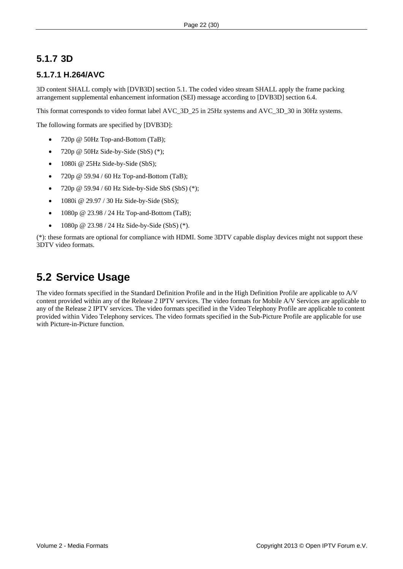### <span id="page-21-0"></span>**5.1.7 3D**

#### **5.1.7.1 H.264/AVC**

3D content SHALL comply with [DVB3D] section 5.1. The coded video stream SHALL apply the frame packing arrangement supplemental enhancement information (SEI) message according to [DVB3D] section 6.4.

This format corresponds to video format label AVC\_3D\_25 in 25Hz systems and AVC\_3D\_30 in 30Hz systems.

The following formats are specified by [DVB3D]:

- 720p @ 50Hz Top-and-Bottom (TaB);
- 720p  $@$  50Hz Side-by-Side (SbS)  $(*)$ ;
- 1080i @ 25Hz Side-by-Side (SbS);
- 720p @ 59.94 / 60 Hz Top-and-Bottom (TaB);
- 720p  $@$  59.94 / 60 Hz Side-by-Side SbS (SbS) (\*);
- $1080i \& 29.97 / 30 Hz$  Side-by-Side (SbS);
- 1080p  $@ 23.98 / 24 Hz$  Top-and-Bottom (TaB);
- 1080p @ 23.98 / 24 Hz Side-by-Side (SbS)  $(*)$ .

(\*): these formats are optional for compliance with HDMI. Some 3DTV capable display devices might not support these 3DTV video formats.

## **5.2 Service Usage**

The video formats specified in the Standard Definition Profile and in the High Definition Profile are applicable to A/V content provided within any of the Release 2 IPTV services. The video formats for Mobile A/V Services are applicable to any of the Release 2 IPTV services. The video formats specified in the Video Telephony Profile are applicable to content provided within Video Telephony services. The video formats specified in the Sub-Picture Profile are applicable for use with Picture-in-Picture function.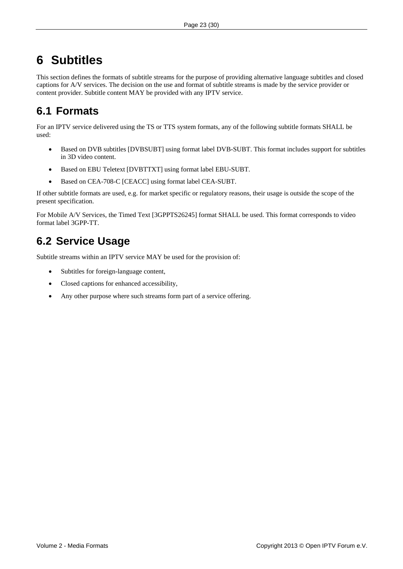# <span id="page-22-1"></span><span id="page-22-0"></span>**6 Subtitles**

This section defines the formats of subtitle streams for the purpose of providing alternative language subtitles and closed captions for A/V services. The decision on the use and format of subtitle streams is made by the service provider or content provider. Subtitle content MAY be provided with any IPTV service.

## **6.1 Formats**

For an IPTV service delivered using the TS or TTS system formats, any of the following subtitle formats SHALL be used:

- Based on DVB subtitles [\[DVBSUBT\]](#page-7-5) using format label DVB-SUBT. This format includes support for subtitles in 3D video content.
- Based on EBU Teletext [\[DVBTTXT\]](#page-7-6) using format label EBU-SUBT.
- Based on CEA-708-C [\[CEACC\]](#page-7-7) using format label CEA-SUBT.

If other subtitle formats are used, e.g. for market specific or regulatory reasons, their usage is outside the scope of the present specification.

For Mobile A/V Services, the Timed Text [3GPPTS26245] format SHALL be used. This format corresponds to video format label 3GPP-TT.

## **6.2 Service Usage**

Subtitle streams within an IPTV service MAY be used for the provision of:

- Subtitles for foreign-language content,
- Closed captions for enhanced accessibility,
- Any other purpose where such streams form part of a service offering.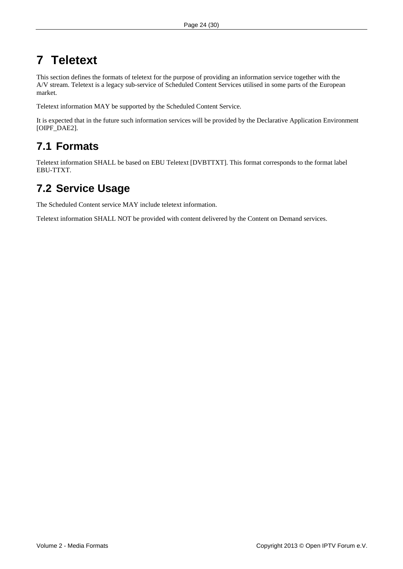# <span id="page-23-1"></span><span id="page-23-0"></span>**7 Teletext**

This section defines the formats of teletext for the purpose of providing an information service together with the A/V stream. Teletext is a legacy sub-service of Scheduled Content Services utilised in some parts of the European market.

Teletext information MAY be supported by the Scheduled Content Service.

It is expected that in the future such information services will be provided by the Declarative Application Environment [OIPF\_DAE2].

## **7.1 Formats**

Teletext information SHALL be based on EBU Teletext [\[DVBTTXT\].](#page-7-6) This format corresponds to the format label EBU-TTXT.

## **7.2 Service Usage**

The Scheduled Content service MAY include teletext information.

Teletext information SHALL NOT be provided with content delivered by the Content on Demand services.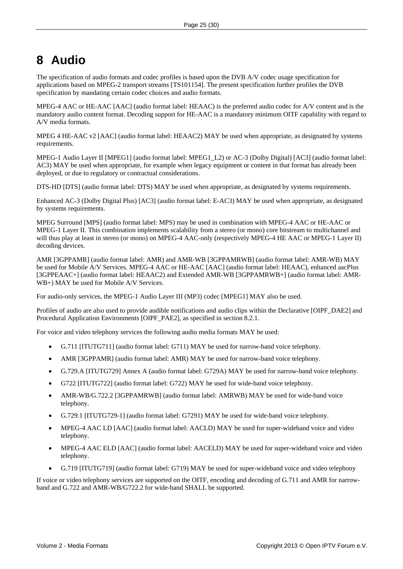# <span id="page-24-1"></span><span id="page-24-0"></span>**8 Audio**

The specification of audio formats and codec profiles is based upon the DVB A/V codec usage specification for applications based on MPEG-2 transport streams [\[TS101154\].](#page-8-3) The present specification further profiles the DVB specification by mandating certain codec choices and audio formats.

MPEG-4 AAC or HE-AAC [\[AAC\]](#page-7-8) (audio format label: HEAAC) is the preferred audio codec for A/V content and is the mandatory audio content format. Decoding support for HE-AAC is a mandatory minimum OITF capability with regard to A/V media formats.

MPEG 4 HE-AAC v2 [AAC] (audio format label: HEAAC2) MAY be used when appropriate, as designated by systems requirements.

MPEG-1 Audio Layer II [\[MPEG1\]](#page-7-9) (audio format label: MPEG1\_L2) or AC-3 (Dolby Digital) [\[AC3\]](#page-7-10) (audio format label: AC3) MAY be used when appropriate, for example when legacy equipment or content in that format has already been deployed, or due to regulatory or contractual considerations.

DTS-HD [DTS] (audio format label: DTS) MAY be used when appropriate, as designated by systems requirements.

Enhanced AC-3 (Dolby Digital Plus) [AC3] (audio format label: E-AC3) MAY be used when appropriate, as designated by systems requirements.

MPEG Surround [MPS] (audio format label: MPS) may be used in combination with MPEG-4 AAC or HE-AAC or MPEG-1 Layer II. This combination implements scalability from a stereo (or mono) core bitstream to multichannel and will thus play at least in stereo (or mono) on MPEG-4 AAC-only (respectively MPEG-4 HE AAC or MPEG-1 Layer II) decoding devices.

AMR [3GPPAMR] (audio format label: AMR) and AMR-WB [3GPPAMRWB] (audio format label: AMR-WB) MAY be used for Mobile A/V Services. MPEG-4 AAC or HE-AAC [AAC] (audio format label: HEAAC), enhanced aacPlus [3GPPEAAC+] (audio format label: HEAAC2) and Extended AMR-WB [3GPPAMRWB+] (audio format label: AMR-WB+) MAY be used for Mobile A/V Services.

For audio-only services, the MPEG-1 Audio Layer III (MP3) codec [\[MPEG1\]](#page-7-9) MAY also be used.

Profiles of audio are also used to provide audible notifications and audio clips within the Declarative [OIPF\_DAE2] and Procedural Application Environments [OIPF\_PAE2], as specified in section [8.2.1.](#page-27-1)

For voice and video telephony services the following audio media formats MAY be used:

- G.711 [ITUTG711] (audio format label: G711) MAY be used for narrow-band voice telephony.
- AMR [3GPPAMR] (audio format label: AMR) MAY be used for narrow-band voice telephony.
- G.729.A [ITUTG729] Annex A (audio format label: G729A) MAY be used for narrow-band voice telephony.
- G722 [ITUTG722] (audio format label: G722) MAY be used for wide-band voice telephony.
- AMR-WB/G.722.2 [3GPPAMRWB] (audio format label: AMRWB) MAY be used for wide-band voice telephony.
- G.729.1 [ITUTG729-1] (audio format label: G7291) MAY be used for wide-band voice telephony.
- MPEG-4 AAC LD [AAC] (audio format label: AACLD) MAY be used for super-wideband voice and video telephony.
- MPEG-4 AAC ELD [AAC] (audio format label: AACELD) MAY be used for super-wideband voice and video telephony.
- G.719 [ITUTG719] (audio format label: G719) MAY be used for super-wideband voice and video telephony

If voice or video telephony services are supported on the OITF, encoding and decoding of G.711 and AMR for narrowband and G.722 and AMR-WB/G722.2 for wide-band SHALL be supported.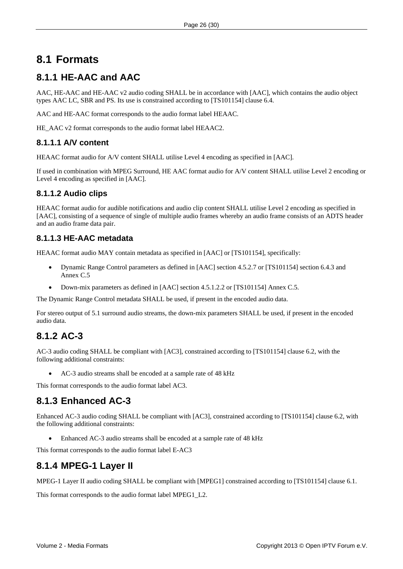## <span id="page-25-1"></span><span id="page-25-0"></span>**8.1 Formats**

## <span id="page-25-2"></span>**8.1.1 HE-AAC and AAC**

AAC, HE-AAC and HE-AAC v2 audio coding SHALL be in accordance with [\[AAC\],](#page-7-8) which contains the audio object types AAC LC, SBR and PS. Its use is constrained according to [\[TS101154\]](#page-8-3) clause 6.4.

AAC and HE-AAC format corresponds to the audio format label HEAAC.

HE\_AAC v2 format corresponds to the audio format label HEAAC2.

#### **8.1.1.1 A/V content**

HEAAC format audio for A/V content SHALL utilise Level 4 encoding as specified in [AAC].

If used in combination with MPEG Surround, HE AAC format audio for A/V content SHALL utilise Level 2 encoding or Level 4 encoding as specified in [AAC].

#### **8.1.1.2 Audio clips**

HEAAC format audio for audible notifications and audio clip content SHALL utilise Level 2 encoding as specified in [AAC], consisting of a sequence of single of multiple audio frames whereby an audio frame consists of an ADTS header and an audio frame data pair.

#### **8.1.1.3 HE-AAC metadata**

HEAAC format audio MAY contain metadata as specified in [AAC] or [TS101154], specifically:

- Dynamic Range Control parameters as defined in [AAC] section 4.5.2.7 or [TS101154] section 6.4.3 and Annex C.5
- Down-mix parameters as defined in [AAC] section 4.5.1.2.2 or [TS101154] Annex C.5.

The Dynamic Range Control metadata SHALL be used, if present in the encoded audio data.

For stereo output of 5.1 surround audio streams, the down-mix parameters SHALL be used, if present in the encoded audio data.

## **8.1.2 AC-3**

AC-3 audio coding SHALL be compliant with [\[AC3\]](#page-7-10), constrained according to [\[TS101154\]](#page-8-3) clause 6.2, with the following additional constraints:

• AC-3 audio streams shall be encoded at a sample rate of 48 kHz

This format corresponds to the audio format label AC3.

### **8.1.3 Enhanced AC-3**

Enhanced AC-3 audio coding SHALL be compliant with [AC3], constrained according to [TS101154] clause 6.2, with the following additional constraints:

• Enhanced AC-3 audio streams shall be encoded at a sample rate of 48 kHz

This format corresponds to the audio format label E-AC3

## <span id="page-25-3"></span>**8.1.4 MPEG-1 Layer II**

MPEG-1 Layer II audio coding SHALL be compliant with [\[MPEG1\]](#page-7-9) constrained according to [\[TS101154\]](#page-8-3) clause 6.1.

This format corresponds to the audio format label MPEG1\_L2.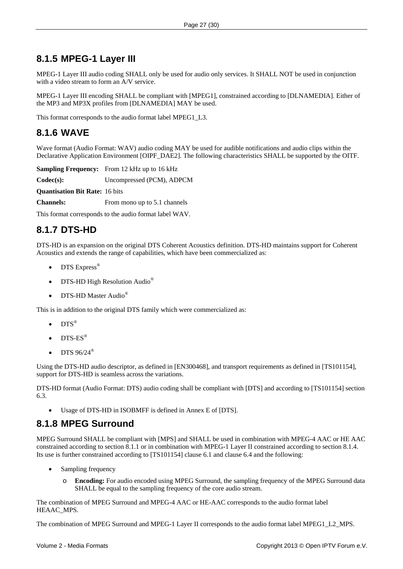### <span id="page-26-0"></span>**8.1.5 MPEG-1 Layer III**

MPEG-1 Layer III audio coding SHALL only be used for audio only services. It SHALL NOT be used in conjunction with a video stream to form an A/V service.

MPEG-1 Layer III encoding SHALL be compliant with [\[MPEG1\],](#page-7-9) constrained according to [\[DLNAMEDIA\]](#page-7-2). Either of the MP3 and MP3X profiles from [\[DLNAMEDIA\]](#page-7-2) MAY be used.

This format corresponds to the audio format label MPEG1\_L3.

## **8.1.6 WAVE**

Wave format (Audio Format: WAV) audio coding MAY be used for audible notifications and audio clips within the Declarative Application Environment [OIPF\_DAE2]. The following characteristics SHALL be supported by the OITF.

**Sampling Frequency:** From 12 kHz up to 16 kHz **Codec(s):** Uncompressed (PCM), ADPCM **Quantisation Bit Rate:** 16 bits **Channels:** From mono up to 5.1 channels

This format corresponds to the audio format label WAV.

## **8.1.7 DTS-HD**

DTS-HD is an expansion on the original DTS Coherent Acoustics definition. DTS-HD maintains support for Coherent Acoustics and extends the range of capabilities, which have been commercialized as:

- DTS Express<sup>®</sup>
- DTS-HD High Resolution Audio<sup>®</sup>
- DTS-HD Master Audio<sup>®</sup>

This is in addition to the original DTS family which were commercialized as:

- $DTS^{\circledR}$
- $DTS-ES^*$
- DTS  $96/24^{\circ}$

Using the DTS-HD audio descriptor, as defined in [EN300468], and transport requirements as defined in [TS101154], support for DTS-HD is seamless across the variations.

DTS-HD format (Audio Format: DTS) audio coding shall be compliant with [DTS] and according to [TS101154] section 6.3.

Usage of DTS-HD in ISOBMFF is defined in Annex E of [DTS].

### **8.1.8 MPEG Surround**

MPEG Surround SHALL be compliant with [MPS] and SHALL be used in combination with MPEG-4 AAC or HE AAC constrained according to section [8.1.1](#page-25-2) or in combination with MPEG-1 Layer II constrained according to section [8.1.4](#page-25-3). Its use is further constrained according to [TS101154] clause 6.1 and clause 6.4 and the following:

- Sampling frequency
	- o **Encoding:** For audio encoded using MPEG Surround, the sampling frequency of the MPEG Surround data SHALL be equal to the sampling frequency of the core audio stream.

The combination of MPEG Surround and MPEG-4 AAC or HE-AAC corresponds to the audio format label HEAAC\_MPS.

The combination of MPEG Surround and MPEG-1 Layer II corresponds to the audio format label MPEG1\_L2\_MPS.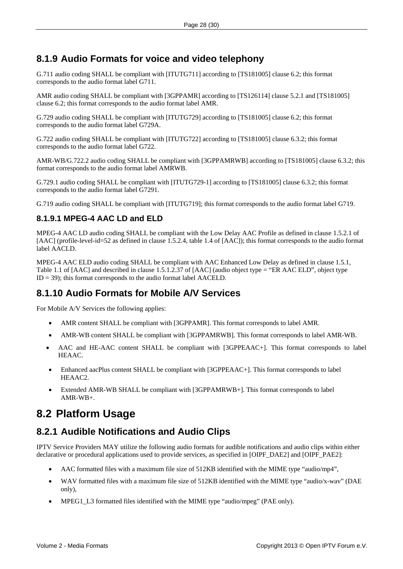## <span id="page-27-0"></span>**8.1.9 Audio Formats for voice and video telephony**

G.711 audio coding SHALL be compliant with [ITUTG711] according to [TS181005] clause 6.2; this format corresponds to the audio format label G711.

AMR audio coding SHALL be compliant with [3GPPAMR] according to [TS126114] clause 5.2.1 and [TS181005] clause 6.2; this format corresponds to the audio format label AMR.

G.729 audio coding SHALL be compliant with [ITUTG729] according to [TS181005] clause 6.2; this format corresponds to the audio format label G729A.

G.722 audio coding SHALL be compliant with [ITUTG722] according to [TS181005] clause 6.3.2; this format corresponds to the audio format label G722.

AMR-WB/G.722.2 audio coding SHALL be compliant with [3GPPAMRWB] according to [TS181005] clause 6.3.2; this format corresponds to the audio format label AMRWB.

G.729.1 audio coding SHALL be compliant with [ITUTG729-1] according to [TS181005] clause 6.3.2; this format corresponds to the audio format label G7291.

G.719 audio coding SHALL be compliant with [ITUTG719]; this format corresponds to the audio format label G719.

### **8.1.9.1 MPEG-4 AAC LD and ELD**

MPEG-4 AAC LD audio coding SHALL be compliant with the Low Delay AAC Profile as defined in clause 1.5.2.1 of [AAC] (profile-level-id=52 as defined in clause 1.5.2.4, table 1.4 of [AAC]); this format corresponds to the audio format label AACLD.

MPEG-4 AAC ELD audio coding SHALL be compliant with AAC Enhanced Low Delay as defined in clause 1.5.1, Table 1.1 of [AAC] and described in clause 1.5.1.2.37 of [AAC] (audio object type = "ER AAC ELD", object type  $ID = 39$ ; this format corresponds to the audio format label AACELD.

### **8.1.10 Audio Formats for Mobile A/V Services**

For Mobile A/V Services the following applies:

- AMR content SHALL be compliant with [3GPPAMR]. This format corresponds to label AMR.
- AMR-WB content SHALL be compliant with [3GPPAMRWB]. This format corresponds to label AMR-WB.
- AAC and HE-AAC content SHALL be compliant with [3GPPEAAC+]. This format corresponds to label HEAAC.
- Enhanced aacPlus content SHALL be compliant with [3GPPEAAC+]. This format corresponds to label HEAAC2.
- Extended AMR-WB SHALL be compliant with [3GPPAMRWB+]. This format corresponds to label AMR-WB+.

## **8.2 Platform Usage**

## <span id="page-27-1"></span>**8.2.1 Audible Notifications and Audio Clips**

IPTV Service Providers MAY utilize the following audio formats for audible notifications and audio clips within either declarative or procedural applications used to provide services, as specified in [OIPF\_DAE2] and [OIPF\_PAE2]:

- AAC formatted files with a maximum file size of 512KB identified with the MIME type "audio/mp4",
- WAV formatted files with a maximum file size of 512KB identified with the MIME type "audio/x-wav" (DAE only),
- MPEG1\_L3 formatted files identified with the MIME type "audio/mpeg" (PAE only).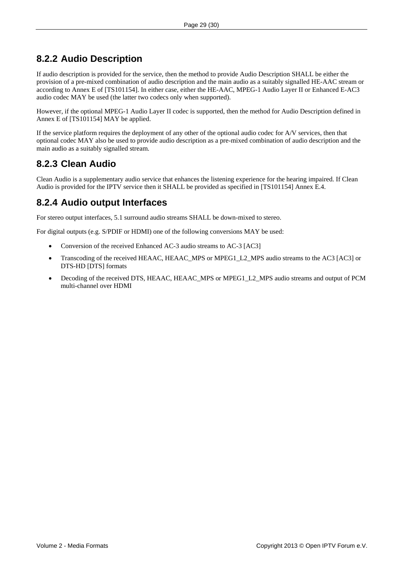## <span id="page-28-0"></span>**8.2.2 Audio Description**

If audio description is provided for the service, then the method to provide Audio Description SHALL be either the provision of a pre-mixed combination of audio description and the main audio as a suitably signalled HE-AAC stream or according to Annex E of [TS101154]. In either case, either the HE-AAC, MPEG-1 Audio Layer II or Enhanced E-AC3 audio codec MAY be used (the latter two codecs only when supported).

However, if the optional MPEG-1 Audio Layer II codec is supported, then the method for Audio Description defined in Annex E of [\[TS101154\]](#page-8-3) MAY be applied.

If the service platform requires the deployment of any other of the optional audio codec for A/V services, then that optional codec MAY also be used to provide audio description as a pre-mixed combination of audio description and the main audio as a suitably signalled stream.

## **8.2.3 Clean Audio**

Clean Audio is a supplementary audio service that enhances the listening experience for the hearing impaired. If Clean Audio is provided for the IPTV service then it SHALL be provided as specified in [TS101154] Annex E.4.

## **8.2.4 Audio output Interfaces**

For stereo output interfaces, 5.1 surround audio streams SHALL be down-mixed to stereo.

For digital outputs (e.g. S/PDIF or HDMI) one of the following conversions MAY be used:

- Conversion of the received Enhanced AC-3 audio streams to AC-3 [AC3]
- Transcoding of the received HEAAC, HEAAC\_MPS or MPEG1\_L2\_MPS audio streams to the AC3 [AC3] or DTS-HD [DTS] formats
- Decoding of the received DTS, HEAAC, HEAAC\_MPS or MPEG1\_L2\_MPS audio streams and output of PCM multi-channel over HDMI